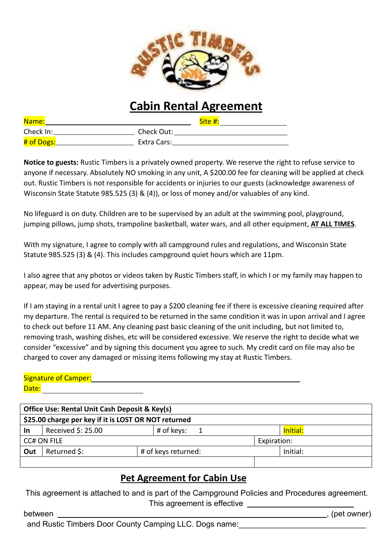

## **Cabin Rental Agreement**

| Name:      |             | Site #: |
|------------|-------------|---------|
| Check In:  | Check Out:  |         |
| # of Dogs: | Extra Cars: |         |

**Notice to guests:** Rustic Timbers is a privately owned property. We reserve the right to refuse service to anyone if necessary. Absolutely NO smoking in any unit, A \$200.00 fee for cleaning will be applied at check out. Rustic Timbers is not responsible for accidents or injuries to our guests (acknowledge awareness of Wisconsin State Statute 985.525 (3) & (4)), or loss of money and/or valuables of any kind.

No lifeguard is on duty. Children are to be supervised by an adult at the swimming pool, playground, jumping pillows, jump shots, trampoline basketball, water wars, and all other equipment, **AT ALL TIMES**.

With my signature, I agree to comply with all campground rules and regulations, and Wisconsin State Statute 985.525 (3) & (4). This includes campground quiet hours which are 11pm.

I also agree that any photos or videos taken by Rustic Timbers staff, in which I or my family may happen to appear, may be used for advertising purposes.

If I am staying in a rental unit I agree to pay a \$200 cleaning fee if there is excessive cleaning required after my departure. The rental is required to be returned in the same condition it wasin upon arrival and I agree to check out before 11 AM. Any cleaning past basic cleaning of the unit including, but not limited to, removing trash, washing dishes, etc will be considered excessive. We reserve the right to decide what we consider "excessive" and by signing this document you agree to such. My credit card on file may also be charged to cover any damaged or missing items following my stay at Rustic Timbers.

## Signature of Camper:

Date: **Office Use: Rental Unit Cash Deposit & Key(s) \$25.00 charge per key if it is LOST OR NOT returned In** Received \$: 25.00  $\qquad$  # of keys: 1  $\qquad$  | Initial: **CC# ON FILE** Expiration: **Out** Returned \$:  $#$  of keys returned: | Initial:

## **Pet Agreement for Cabin Use**

This agreement is attached to and is part of the Campground Policies and Procedures agreement. This agreement is effective

between , (pet owner) , (pet owner) and Rustic Timbers Door County Camping LLC. Dogs name: